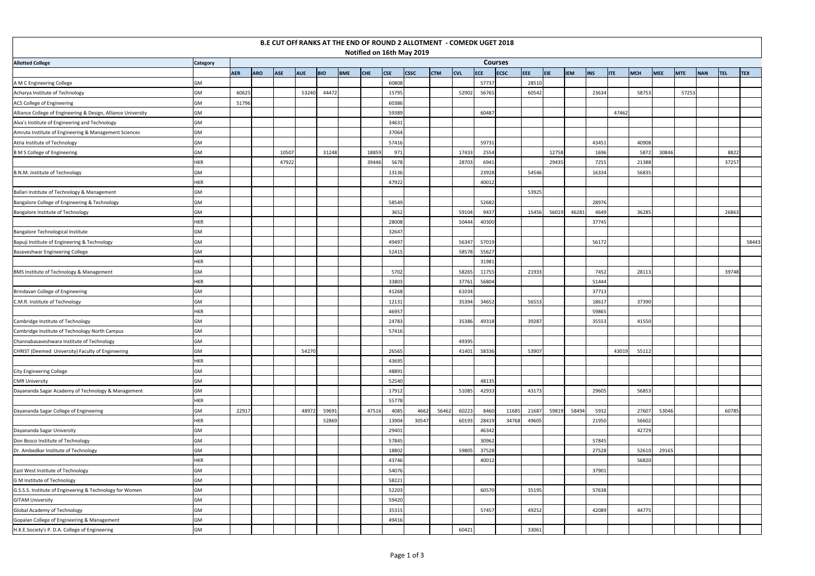|                                                               |                 |            |            |            |            |            |            |       |       | B.E CUT OFf RANKS AT THE END OF ROUND 2 ALLOTMENT - COMEDK UGET 2018 |            |            |            |                |       |            |            |            |            |       |       |            |            |            |            |
|---------------------------------------------------------------|-----------------|------------|------------|------------|------------|------------|------------|-------|-------|----------------------------------------------------------------------|------------|------------|------------|----------------|-------|------------|------------|------------|------------|-------|-------|------------|------------|------------|------------|
|                                                               |                 |            |            |            |            |            |            |       |       | Notified on 16th May 2019                                            |            |            |            |                |       |            |            |            |            |       |       |            |            |            |            |
| <b>Allotted College</b>                                       | <b>Category</b> |            |            |            |            |            |            |       |       |                                                                      |            |            |            | <b>Courses</b> |       |            |            |            |            |       |       |            |            |            |            |
|                                                               |                 | <b>AER</b> | <b>ARO</b> | <b>ASE</b> | <b>AUE</b> | <b>BIO</b> | <b>BME</b> | CHE   | CSE   | <b>CSSC</b>                                                          | <b>CTM</b> | <b>CVL</b> | <b>ECE</b> | <b>ECSC</b>    | EEE   | <b>EIE</b> | <b>IEM</b> | <b>INS</b> | <b>ITE</b> | MCH   | MEE   | <b>MTE</b> | <b>NAN</b> | <b>TEL</b> | <b>TEX</b> |
| A M C Engineering College                                     | GM              |            |            |            |            |            |            |       | 60808 |                                                                      |            |            | 57737      |                | 28510 |            |            |            |            |       |       |            |            |            |            |
| Acharya Institute of Technology                               | <b>GM</b>       | 60625      |            |            | 53240      | 44472      |            |       | 15795 |                                                                      |            | 52902      | 56765      |                | 60542 |            |            | 23634      |            | 58753 |       | 57253      |            |            |            |
| ACS College of Engineering                                    | GM              | 51796      |            |            |            |            |            |       | 60386 |                                                                      |            |            |            |                |       |            |            |            |            |       |       |            |            |            |            |
| Alliance College of Engineering & Design, Alliance University | GM              |            |            |            |            |            |            |       | 59389 |                                                                      |            |            | 60487      |                |       |            |            |            | 47462      |       |       |            |            |            |            |
| Alva's Institute of Engineering and Technology                | GM              |            |            |            |            |            |            |       | 34631 |                                                                      |            |            |            |                |       |            |            |            |            |       |       |            |            |            |            |
| Amruta Institute of Engineering & Management Sciences         | GM              |            |            |            |            |            |            |       | 37064 |                                                                      |            |            |            |                |       |            |            |            |            |       |       |            |            |            |            |
| Atria Institute of Technology                                 | GM              |            |            |            |            |            |            |       | 57416 |                                                                      |            |            | 5973       |                |       |            |            | 43451      |            | 40908 |       |            |            |            |            |
| <b>B M S College of Engineering</b>                           | GM              |            |            | 10507      |            | 31248      |            | 18859 | 971   |                                                                      |            | 17433      | 2554       |                |       | 12758      |            | 1696       |            | 5872  | 30846 |            |            | 8822       |            |
|                                                               | <b>HKR</b>      |            |            | 47922      |            |            |            | 39446 | 5678  |                                                                      |            | 28703      | 6941       |                |       | 29435      |            | 7255       |            | 21388 |       |            |            | 37257      |            |
| B.N.M. Institute of Technology                                | GM              |            |            |            |            |            |            |       | 13136 |                                                                      |            |            | 23928      |                | 54546 |            |            | 16334      |            | 56835 |       |            |            |            |            |
|                                                               | <b>HKR</b>      |            |            |            |            |            |            |       | 47922 |                                                                      |            |            | 40012      |                |       |            |            |            |            |       |       |            |            |            |            |
| Ballari Institute of Technology & Management                  | <b>GM</b>       |            |            |            |            |            |            |       |       |                                                                      |            |            |            |                | 53925 |            |            |            |            |       |       |            |            |            |            |
| Bangalore College of Engineering & Technology                 | GM              |            |            |            |            |            |            |       | 58549 |                                                                      |            |            | 52682      |                |       |            |            | 28976      |            |       |       |            |            |            |            |
| Bangalore Institute of Technology                             | GM              |            |            |            |            |            |            |       | 3652  |                                                                      |            | 59104      | 9437       |                | 15456 | 56019      | 46281      | 4649       |            | 36285 |       |            |            | 26863      |            |
|                                                               | <b>HKR</b>      |            |            |            |            |            |            |       | 28008 |                                                                      |            | 50444      | 40300      |                |       |            |            | 37745      |            |       |       |            |            |            |            |
| Bangalore Technological Institute                             | GM              |            |            |            |            |            |            |       | 32647 |                                                                      |            |            |            |                |       |            |            |            |            |       |       |            |            |            |            |
| Bapuji Institute of Engineering & Technology                  | GM              |            |            |            |            |            |            |       | 49497 |                                                                      |            | 56347      | 57019      |                |       |            |            | 56172      |            |       |       |            |            |            | 58443      |
| Basaveshwar Engineering College                               | <b>GM</b>       |            |            |            |            |            |            |       | 52415 |                                                                      |            | 58578      | 55627      |                |       |            |            |            |            |       |       |            |            |            |            |
|                                                               | <b>HKR</b>      |            |            |            |            |            |            |       |       |                                                                      |            |            | 31981      |                |       |            |            |            |            |       |       |            |            |            |            |
| BMS Institute of Technology & Management                      | GM              |            |            |            |            |            |            |       | 5702  |                                                                      |            | 58265      | 1175       |                | 21933 |            |            | 7452       |            | 28113 |       |            |            | 39748      |            |
|                                                               | <b>HKR</b>      |            |            |            |            |            |            |       | 33803 |                                                                      |            | 37761      | 56804      |                |       |            |            | 51444      |            |       |       |            |            |            |            |
| Brindavan College of Engineering                              | GM              |            |            |            |            |            |            |       | 41268 |                                                                      |            | 61034      |            |                |       |            |            | 37713      |            |       |       |            |            |            |            |
| C.M.R. Institute of Technology                                | GM              |            |            |            |            |            |            |       | 12131 |                                                                      |            | 35394      | 34652      |                | 56553 |            |            | 18617      |            | 37390 |       |            |            |            |            |
|                                                               | <b>HKR</b>      |            |            |            |            |            |            |       | 46957 |                                                                      |            |            |            |                |       |            |            | 59865      |            |       |       |            |            |            |            |
| Cambridge Institute of Technology                             | GM              |            |            |            |            |            |            |       | 24783 |                                                                      |            | 35386      | 49318      |                | 39287 |            |            | 35553      |            | 41550 |       |            |            |            |            |
| Cambridge Institute of Technology North Campus                | GM              |            |            |            |            |            |            |       | 57416 |                                                                      |            |            |            |                |       |            |            |            |            |       |       |            |            |            |            |
| Channabasaveshwara Institute of Technology                    | <b>GM</b>       |            |            |            |            |            |            |       |       |                                                                      |            | 49395      |            |                |       |            |            |            |            |       |       |            |            |            |            |
| CHRIST (Deemed University) Faculty of Engineering             | GM              |            |            |            | 54270      |            |            |       | 26565 |                                                                      |            | 41401      | 58336      |                | 53907 |            |            |            | 43019      | 55112 |       |            |            |            |            |
|                                                               | <b>HKR</b>      |            |            |            |            |            |            |       | 43695 |                                                                      |            |            |            |                |       |            |            |            |            |       |       |            |            |            |            |
| City Engineering College                                      | GM              |            |            |            |            |            |            |       | 48891 |                                                                      |            |            |            |                |       |            |            |            |            |       |       |            |            |            |            |
| <b>CMR University</b>                                         | <b>GM</b>       |            |            |            |            |            |            |       | 52540 |                                                                      |            |            | 48135      |                |       |            |            |            |            |       |       |            |            |            |            |
| Dayananda Sagar Academy of Technology & Management            | GM              |            |            |            |            |            |            |       | 17912 |                                                                      |            | 51085      | 42933      |                | 43173 |            |            | 29605      |            | 56853 |       |            |            |            |            |
|                                                               | <b>HKR</b>      |            |            |            |            |            |            |       | 55778 |                                                                      |            |            |            |                |       |            |            |            |            |       |       |            |            |            |            |
| Dayananda Sagar College of Engineering                        | GM              | 22917      |            |            | 48972      | 59691      |            | 47516 | 4085  | 4662                                                                 | 56462      | 60223      | 8460       | 11685          | 21687 | 59819      | 58494      | 5932       |            | 27607 | 53046 |            |            | 60785      |            |
|                                                               | <b>HKR</b>      |            |            |            |            | 52869      |            |       | 13904 | 30547                                                                |            | 60193      | 2841       | 34768          | 49605 |            |            | 21950      |            | 56602 |       |            |            |            |            |
| Dayananda Sagar University                                    | <b>GM</b>       |            |            |            |            |            |            |       | 29401 |                                                                      |            |            | 46342      |                |       |            |            |            |            | 42729 |       |            |            |            |            |
| Don Bosco Institute of Technology                             | <b>GM</b>       |            |            |            |            |            |            |       | 57845 |                                                                      |            |            | 30962      |                |       |            |            | 57845      |            |       |       |            |            |            |            |
| Dr. Ambedkar Institute of Technology                          | GM              |            |            |            |            |            |            |       | 18802 |                                                                      |            | 59805      | 37528      |                |       |            |            | 27528      |            | 52610 | 29165 |            |            |            |            |
|                                                               | <b>HKR</b>      |            |            |            |            |            |            |       | 43746 |                                                                      |            |            | 40012      |                |       |            |            |            |            | 56820 |       |            |            |            |            |
| East West Institute of Technology                             | GM              |            |            |            |            |            |            |       | 54076 |                                                                      |            |            |            |                |       |            |            | 37901      |            |       |       |            |            |            |            |
| G M Institute of Technology                                   | GM              |            |            |            |            |            |            |       | 58221 |                                                                      |            |            |            |                |       |            |            |            |            |       |       |            |            |            |            |
| G.S.S.S. Institute of Engineering & Technology for Women      | GM              |            |            |            |            |            |            |       | 52203 |                                                                      |            |            | 60570      |                | 35195 |            |            | 57638      |            |       |       |            |            |            |            |
| <b>GITAM University</b>                                       | GM              |            |            |            |            |            |            |       | 59420 |                                                                      |            |            |            |                |       |            |            |            |            |       |       |            |            |            |            |
| Global Academy of Technology                                  | GM              |            |            |            |            |            |            |       | 3531  |                                                                      |            |            | 57457      |                | 49252 |            |            | 42089      |            | 44775 |       |            |            |            |            |
| Gopalan College of Engineering & Management                   | GM              |            |            |            |            |            |            |       | 49416 |                                                                      |            |            |            |                |       |            |            |            |            |       |       |            |            |            |            |
| H.K.E.Society's P. D.A. College of Engineering                | GM              |            |            |            |            |            |            |       |       |                                                                      |            | 60421      |            |                | 33061 |            |            |            |            |       |       |            |            |            |            |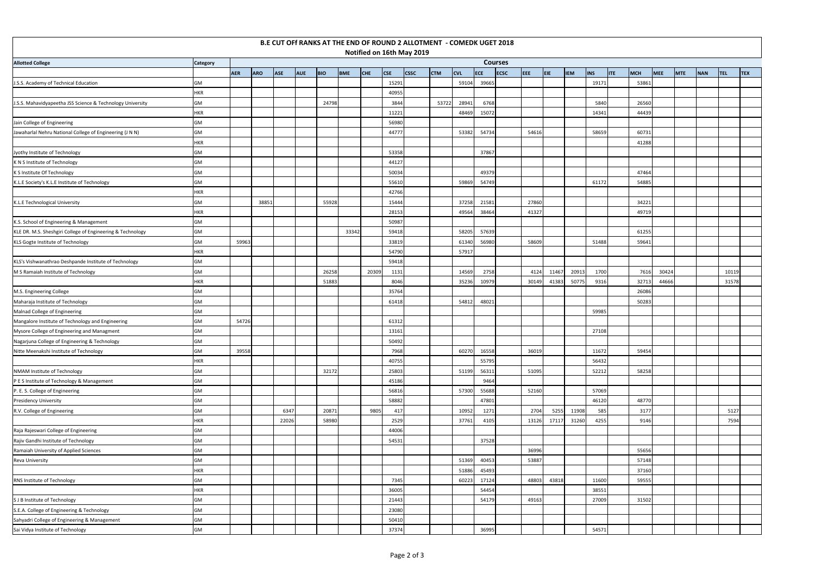|                                                            |                                             |            |            |            |            |            |            |            |            | B.E CUT OFf RANKS AT THE END OF ROUND 2 ALLOTMENT - COMEDK UGET 2018 |            |            |            |             |       |       |            |                          |       |            |            |            |            |            |  |
|------------------------------------------------------------|---------------------------------------------|------------|------------|------------|------------|------------|------------|------------|------------|----------------------------------------------------------------------|------------|------------|------------|-------------|-------|-------|------------|--------------------------|-------|------------|------------|------------|------------|------------|--|
|                                                            | Notified on 16th May 2019<br><b>Courses</b> |            |            |            |            |            |            |            |            |                                                                      |            |            |            |             |       |       |            |                          |       |            |            |            |            |            |  |
| <b>Allotted College</b>                                    | <b>Category</b>                             |            |            |            |            |            |            |            |            |                                                                      |            |            |            |             |       |       |            |                          |       |            |            |            |            |            |  |
|                                                            |                                             | <b>AER</b> | <b>ARO</b> | <b>ASE</b> | <b>AUE</b> | <b>BIO</b> | <b>BME</b> | <b>CHE</b> | <b>CSE</b> | <b>CSSC</b>                                                          | <b>CTM</b> | <b>CVL</b> | <b>ECF</b> | <b>ECSC</b> | EEE.  | EIE.  | <b>IEM</b> | <b>INS</b><br><b>ITE</b> | MCH   | <b>MEE</b> | <b>MTE</b> | <b>NAN</b> | <b>TEL</b> | <b>TEX</b> |  |
| J.S.S. Academy of Technical Education                      | GM                                          |            |            |            |            |            |            |            | 15291      |                                                                      |            | 59104      | 39665      |             |       |       |            | 19171                    | 53861 |            |            |            |            |            |  |
|                                                            | <b>HKR</b>                                  |            |            |            |            |            |            |            | 40955      |                                                                      |            |            |            |             |       |       |            |                          |       |            |            |            |            |            |  |
| J.S.S. Mahavidyapeetha JSS Science & Technology University | GM                                          |            |            |            |            | 24798      |            |            | 3844       |                                                                      | 53722      | 28941      | 6768       |             |       |       |            | 5840                     | 26560 |            |            |            |            |            |  |
|                                                            | HKR                                         |            |            |            |            |            |            |            | 11221      |                                                                      |            | 48469      | 15072      |             |       |       |            | 14341                    | 44439 |            |            |            |            |            |  |
| Jain College of Engineering                                | GM                                          |            |            |            |            |            |            |            | 56980      |                                                                      |            |            |            |             |       |       |            |                          |       |            |            |            |            |            |  |
| Jawaharlal Nehru National College of Engineering (J N N)   | GM                                          |            |            |            |            |            |            |            | 44777      |                                                                      |            | 53382      | 54734      |             | 54616 |       |            | 58659                    | 60731 |            |            |            |            |            |  |
|                                                            | <b>HKR</b>                                  |            |            |            |            |            |            |            |            |                                                                      |            |            |            |             |       |       |            |                          | 41288 |            |            |            |            |            |  |
| Jyothy Institute of Technology                             | GM                                          |            |            |            |            |            |            |            | 53358      |                                                                      |            |            | 37867      |             |       |       |            |                          |       |            |            |            |            |            |  |
| K N S Institute of Technology                              | GM                                          |            |            |            |            |            |            |            | 44127      |                                                                      |            |            |            |             |       |       |            |                          |       |            |            |            |            |            |  |
| K S Institute Of Technology                                | GM                                          |            |            |            |            |            |            |            | 50034      |                                                                      |            |            | 49379      |             |       |       |            |                          | 47464 |            |            |            |            |            |  |
| K.L.E Society's K.L.E Institute of Technology              | GM                                          |            |            |            |            |            |            |            | 55610      |                                                                      |            | 59869      | 54749      |             |       |       |            | 61172                    | 54885 |            |            |            |            |            |  |
|                                                            | HKR                                         |            |            |            |            |            |            |            | 42766      |                                                                      |            |            |            |             |       |       |            |                          |       |            |            |            |            |            |  |
| K.L.E Technological University                             | GM                                          |            | 38851      |            |            | 55928      |            |            | 15444      |                                                                      |            | 37258      | 21581      |             | 27860 |       |            |                          | 34221 |            |            |            |            |            |  |
|                                                            | <b>HKR</b>                                  |            |            |            |            |            |            |            | 28153      |                                                                      |            | 49564      | 38464      |             | 41327 |       |            |                          | 49719 |            |            |            |            |            |  |
| K.S. School of Engineering & Management                    | GM                                          |            |            |            |            |            |            |            | 50987      |                                                                      |            |            |            |             |       |       |            |                          |       |            |            |            |            |            |  |
| KLE DR. M.S. Sheshgiri College of Engineering & Technology | GM                                          |            |            |            |            |            | 33342      |            | 59418      |                                                                      |            | 58205      | 57639      |             |       |       |            |                          | 61255 |            |            |            |            |            |  |
| KLS Gogte Institute of Technology                          | GM                                          | 59963      |            |            |            |            |            |            | 33819      |                                                                      |            | 61340      | 56980      |             | 58609 |       |            | 51488                    | 59641 |            |            |            |            |            |  |
|                                                            | HKR                                         |            |            |            |            |            |            |            | 54790      |                                                                      |            | 57917      |            |             |       |       |            |                          |       |            |            |            |            |            |  |
| KLS's Vishwanathrao Deshpande Institute of Technology      | GM                                          |            |            |            |            |            |            |            | 59418      |                                                                      |            |            |            |             |       |       |            |                          |       |            |            |            |            |            |  |
| M S Ramaiah Institute of Technology                        | GM                                          |            |            |            |            | 26258      |            | 20309      | 1131       |                                                                      |            | 14569      | 2758       |             | 4124  | 11467 | 20913      | 1700                     | 7616  | 30424      |            |            | 10119      |            |  |
|                                                            | <b>HKR</b>                                  |            |            |            |            | 51883      |            |            | 8046       |                                                                      |            | 35236      | 10979      |             | 30149 | 41383 | 50775      | 9316                     | 32713 | 44666      |            |            | 31578      |            |  |
| M.S. Engineering College                                   | GM                                          |            |            |            |            |            |            |            | 35764      |                                                                      |            |            |            |             |       |       |            |                          | 26086 |            |            |            |            |            |  |
| Maharaja Institute of Technology                           | GM                                          |            |            |            |            |            |            |            | 61418      |                                                                      |            | 54812      | 48021      |             |       |       |            |                          | 50283 |            |            |            |            |            |  |
| Malnad College of Engineering                              | GM                                          |            |            |            |            |            |            |            |            |                                                                      |            |            |            |             |       |       |            | 59985                    |       |            |            |            |            |            |  |
| Mangalore Institute of Technology and Engineering          | GM                                          | 54726      |            |            |            |            |            |            | 61312      |                                                                      |            |            |            |             |       |       |            |                          |       |            |            |            |            |            |  |
| Mysore College of Engineering and Managment                | GM                                          |            |            |            |            |            |            |            | 13161      |                                                                      |            |            |            |             |       |       |            | 27108                    |       |            |            |            |            |            |  |
| Nagarjuna College of Engineering & Technology              | <b>GM</b>                                   |            |            |            |            |            |            |            | 50492      |                                                                      |            |            |            |             |       |       |            |                          |       |            |            |            |            |            |  |
| Nitte Meenakshi Institute of Technology                    | GM                                          | 39558      |            |            |            |            |            |            | 7968       |                                                                      |            | 60270      | 16558      |             | 36019 |       |            | 11672                    | 59454 |            |            |            |            |            |  |
|                                                            | <b>HKR</b>                                  |            |            |            |            |            |            |            | 40755      |                                                                      |            |            | 55795      |             |       |       |            | 56432                    |       |            |            |            |            |            |  |
| NMAM Institute of Technology                               | GM                                          |            |            |            |            | 32172      |            |            | 25803      |                                                                      |            | 51199      | 56311      |             | 51095 |       |            | 52212                    | 58258 |            |            |            |            |            |  |
| P E S Institute of Technology & Management                 | GM                                          |            |            |            |            |            |            |            | 45186      |                                                                      |            |            | 9464       |             |       |       |            |                          |       |            |            |            |            |            |  |
| P. E. S. College of Engineering                            | GM                                          |            |            |            |            |            |            |            | 56816      |                                                                      |            | 57300      | 55688      |             | 52160 |       |            | 57069                    |       |            |            |            |            |            |  |
| <b>Presidency University</b>                               | GM                                          |            |            |            |            |            |            |            | 58882      |                                                                      |            |            | 47801      |             |       |       |            | 46120                    | 48770 |            |            |            |            |            |  |
| R.V. College of Engineering                                | GM                                          |            |            | 6347       |            | 20871      |            | 9805       | 417        |                                                                      |            | 10952      | 1271       |             | 2704  | 5255  | 11908      | 585                      | 3177  |            |            |            | 5127       |            |  |
|                                                            | <b>HKR</b>                                  |            |            | 22026      |            | 58980      |            |            | 2529       |                                                                      |            | 37761      | 4105       |             | 13126 | 17117 | 31260      | 4255                     | 9146  |            |            |            | 7594       |            |  |
| Raja Rajeswari College of Engineering                      | GM                                          |            |            |            |            |            |            |            | 44006      |                                                                      |            |            |            |             |       |       |            |                          |       |            |            |            |            |            |  |
| Rajiv Gandhi Institute of Technology                       | GM                                          |            |            |            |            |            |            |            | 54531      |                                                                      |            |            | 37528      |             |       |       |            |                          |       |            |            |            |            |            |  |
| Ramaiah University of Applied Sciences                     | GM                                          |            |            |            |            |            |            |            |            |                                                                      |            |            |            |             | 36996 |       |            |                          | 55656 |            |            |            |            |            |  |
| Reva University                                            | GM                                          |            |            |            |            |            |            |            |            |                                                                      |            | 51369      | 40453      |             | 53887 |       |            |                          | 57148 |            |            |            |            |            |  |
|                                                            | <b>HKR</b>                                  |            |            |            |            |            |            |            |            |                                                                      |            | 51886      | 45493      |             |       |       |            |                          | 37160 |            |            |            |            |            |  |
| RNS Institute of Technology                                | GM                                          |            |            |            |            |            |            |            | 7345       |                                                                      |            | 60223      | 17124      |             | 48803 | 43818 |            | 11600                    | 59555 |            |            |            |            |            |  |
|                                                            | <b>HKR</b>                                  |            |            |            |            |            |            |            | 36005      |                                                                      |            |            | 54454      |             |       |       |            | 38551                    |       |            |            |            |            |            |  |
| S J B Institute of Technology                              | GM                                          |            |            |            |            |            |            |            | 21443      |                                                                      |            |            | 54179      |             | 49163 |       |            | 27009                    | 31502 |            |            |            |            |            |  |
| S.E.A. College of Engineering & Technology                 | GM                                          |            |            |            |            |            |            |            | 23080      |                                                                      |            |            |            |             |       |       |            |                          |       |            |            |            |            |            |  |
| Sahyadri College of Engineering & Management               | GM                                          |            |            |            |            |            |            |            | 50410      |                                                                      |            |            |            |             |       |       |            |                          |       |            |            |            |            |            |  |
| Sai Vidya Institute of Technology                          | GM                                          |            |            |            |            |            |            |            | 37374      |                                                                      |            |            | 36995      |             |       |       |            | 54571                    |       |            |            |            |            |            |  |